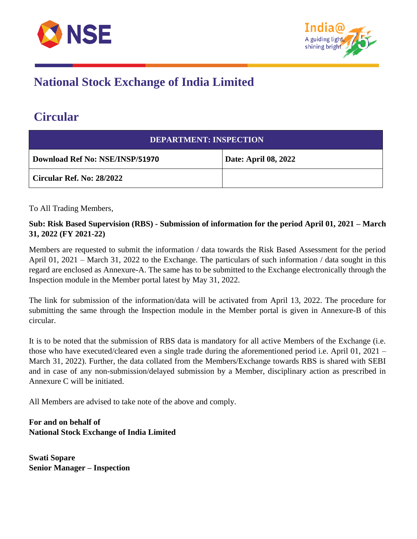



## **National Stock Exchange of India Limited**

## **Circular**

| <b>DEPARTMENT: INSPECTION</b>   |                             |  |
|---------------------------------|-----------------------------|--|
| Download Ref No: NSE/INSP/51970 | <b>Date: April 08, 2022</b> |  |
| Circular Ref. No: 28/2022       |                             |  |

To All Trading Members,

## **Sub: Risk Based Supervision (RBS) - Submission of information for the period April 01, 2021 – March 31, 2022 (FY 2021-22)**

Members are requested to submit the information / data towards the Risk Based Assessment for the period April 01, 2021 – March 31, 2022 to the Exchange. The particulars of such information / data sought in this regard are enclosed as Annexure-A. The same has to be submitted to the Exchange electronically through the Inspection module in the Member portal latest by May 31, 2022.

The link for submission of the information/data will be activated from April 13, 2022. The procedure for submitting the same through the Inspection module in the Member portal is given in Annexure-B of this circular.

It is to be noted that the submission of RBS data is mandatory for all active Members of the Exchange (i.e. those who have executed/cleared even a single trade during the aforementioned period i.e. April 01, 2021 – March 31, 2022). Further, the data collated from the Members/Exchange towards RBS is shared with SEBI and in case of any non-submission/delayed submission by a Member, disciplinary action as prescribed in Annexure C will be initiated.

All Members are advised to take note of the above and comply.

**For and on behalf of National Stock Exchange of India Limited**

**Swati Sopare Senior Manager – Inspection**